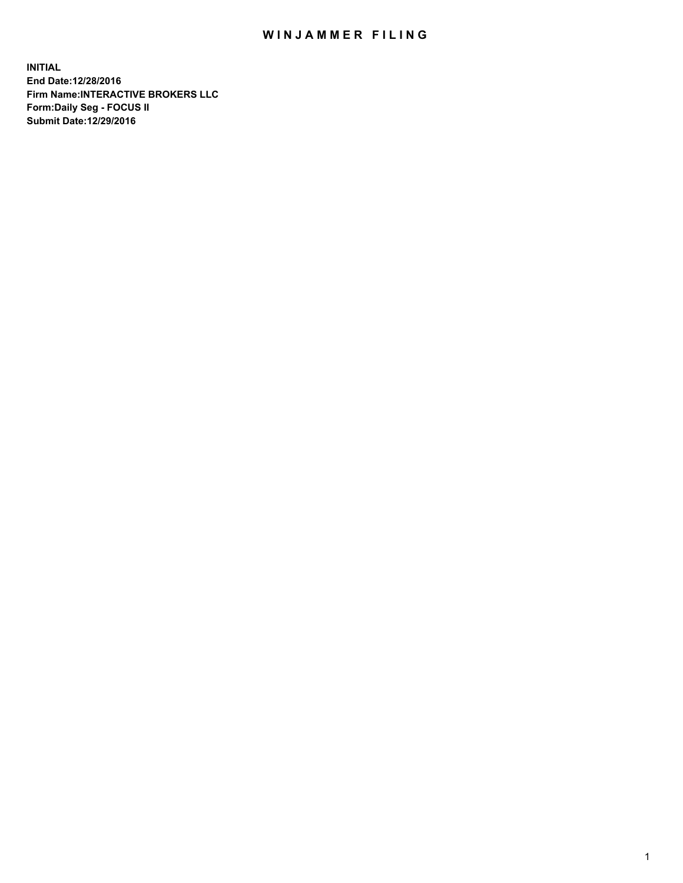## WIN JAMMER FILING

**INITIAL End Date:12/28/2016 Firm Name:INTERACTIVE BROKERS LLC Form:Daily Seg - FOCUS II Submit Date:12/29/2016**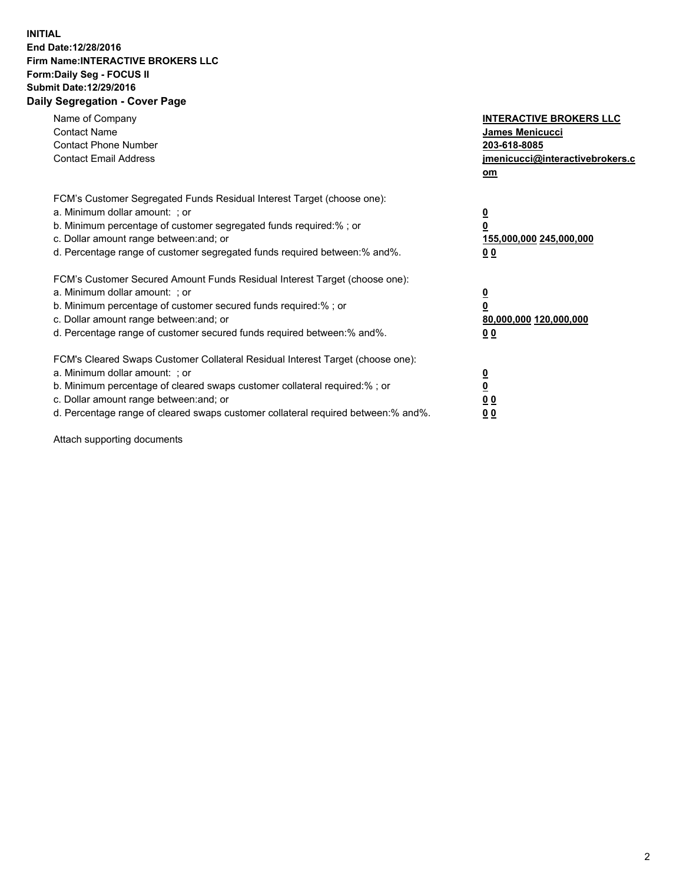## **INITIAL End Date:12/28/2016 Firm Name:INTERACTIVE BROKERS LLC Form:Daily Seg - FOCUS II Submit Date:12/29/2016 Daily Segregation - Cover Page**

| Name of Company<br><b>Contact Name</b><br><b>Contact Phone Number</b><br><b>Contact Email Address</b>                                                                                                                                                                                                                          | <b>INTERACTIVE BROKERS LLC</b><br>James Menicucci<br>203-618-8085<br><u>jmenicucci@interactivebrokers.c</u><br>om |
|--------------------------------------------------------------------------------------------------------------------------------------------------------------------------------------------------------------------------------------------------------------------------------------------------------------------------------|-------------------------------------------------------------------------------------------------------------------|
| FCM's Customer Segregated Funds Residual Interest Target (choose one):<br>a. Minimum dollar amount: ; or<br>b. Minimum percentage of customer segregated funds required:%; or<br>c. Dollar amount range between: and; or<br>d. Percentage range of customer segregated funds required between:% and%.                          | $\overline{\mathbf{0}}$<br>0<br>155,000,000 245,000,000<br>0 <sub>0</sub>                                         |
| FCM's Customer Secured Amount Funds Residual Interest Target (choose one):<br>a. Minimum dollar amount: ; or<br>b. Minimum percentage of customer secured funds required:%; or<br>c. Dollar amount range between: and; or<br>d. Percentage range of customer secured funds required between:% and%.                            | $\overline{\mathbf{0}}$<br>$\overline{\mathbf{0}}$<br>80,000,000 120,000,000<br>00                                |
| FCM's Cleared Swaps Customer Collateral Residual Interest Target (choose one):<br>a. Minimum dollar amount: ; or<br>b. Minimum percentage of cleared swaps customer collateral required:% ; or<br>c. Dollar amount range between: and; or<br>d. Percentage range of cleared swaps customer collateral required between:% and%. | $\overline{\mathbf{0}}$<br>$\overline{\mathbf{0}}$<br>0 <sub>0</sub><br><u>00</u>                                 |

Attach supporting documents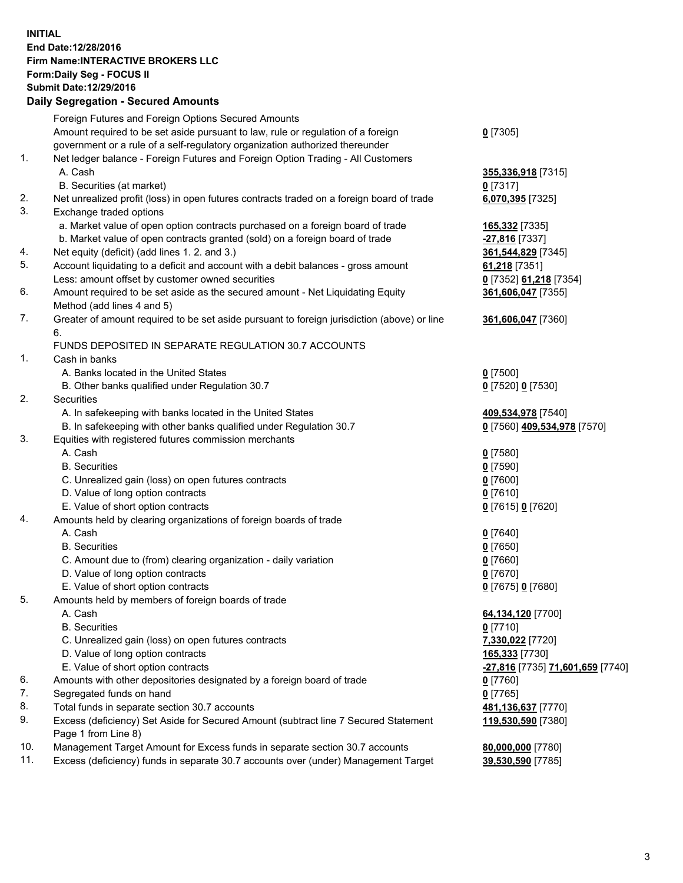## **INITIAL End Date:12/28/2016 Firm Name:INTERACTIVE BROKERS LLC Form:Daily Seg - FOCUS II Submit Date:12/29/2016 Daily Segregation - Secured Amounts**

|     | Dany Ocgregation - Oceanea Amounts                                                                         |                                         |
|-----|------------------------------------------------------------------------------------------------------------|-----------------------------------------|
|     | Foreign Futures and Foreign Options Secured Amounts                                                        |                                         |
|     | Amount required to be set aside pursuant to law, rule or regulation of a foreign                           | $0$ [7305]                              |
|     | government or a rule of a self-regulatory organization authorized thereunder                               |                                         |
| 1.  | Net ledger balance - Foreign Futures and Foreign Option Trading - All Customers                            |                                         |
|     | A. Cash                                                                                                    | 355,336,918 [7315]                      |
|     | B. Securities (at market)                                                                                  | 0 [7317]                                |
| 2.  | Net unrealized profit (loss) in open futures contracts traded on a foreign board of trade                  | 6,070,395 [7325]                        |
| 3.  | Exchange traded options                                                                                    |                                         |
|     | a. Market value of open option contracts purchased on a foreign board of trade                             | 165,332 [7335]                          |
|     | b. Market value of open contracts granted (sold) on a foreign board of trade                               | -27,816 [7337]                          |
| 4.  | Net equity (deficit) (add lines 1.2. and 3.)                                                               | 361,544,829 [7345]                      |
| 5.  | Account liquidating to a deficit and account with a debit balances - gross amount                          | 61,218 [7351]                           |
|     | Less: amount offset by customer owned securities                                                           | 0 [7352] 61,218 [7354]                  |
| 6.  | Amount required to be set aside as the secured amount - Net Liquidating Equity                             | 361,606,047 [7355]                      |
|     | Method (add lines 4 and 5)                                                                                 |                                         |
| 7.  | Greater of amount required to be set aside pursuant to foreign jurisdiction (above) or line                | 361,606,047 [7360]                      |
|     | 6.                                                                                                         |                                         |
|     | FUNDS DEPOSITED IN SEPARATE REGULATION 30.7 ACCOUNTS                                                       |                                         |
| 1.  | Cash in banks                                                                                              |                                         |
|     | A. Banks located in the United States                                                                      | $0$ [7500]                              |
|     | B. Other banks qualified under Regulation 30.7                                                             | 0 [7520] 0 [7530]                       |
| 2.  | Securities                                                                                                 |                                         |
|     | A. In safekeeping with banks located in the United States                                                  | 409,534,978 [7540]                      |
|     | B. In safekeeping with other banks qualified under Regulation 30.7                                         | 0 [7560] 409,534,978 [7570]             |
| 3.  | Equities with registered futures commission merchants                                                      |                                         |
|     | A. Cash                                                                                                    | $0$ [7580]                              |
|     | <b>B.</b> Securities                                                                                       | $0$ [7590]                              |
|     | C. Unrealized gain (loss) on open futures contracts                                                        | $0$ [7600]                              |
|     | D. Value of long option contracts                                                                          | $0$ [7610]                              |
|     | E. Value of short option contracts                                                                         | 0 [7615] 0 [7620]                       |
| 4.  | Amounts held by clearing organizations of foreign boards of trade                                          |                                         |
|     | A. Cash                                                                                                    | $0$ [7640]                              |
|     | <b>B.</b> Securities                                                                                       | $0$ [7650]                              |
|     | C. Amount due to (from) clearing organization - daily variation                                            | $0$ [7660]                              |
|     | D. Value of long option contracts                                                                          | $0$ [7670]                              |
|     | E. Value of short option contracts                                                                         | 0 [7675] 0 [7680]                       |
| 5.  | Amounts held by members of foreign boards of trade                                                         |                                         |
|     | A. Cash                                                                                                    | 64,134,120 [7700]                       |
|     | <b>B.</b> Securities                                                                                       | $0$ [7710]                              |
|     | C. Unrealized gain (loss) on open futures contracts                                                        | 7,330,022 [7720]                        |
|     | D. Value of long option contracts                                                                          | 165,333 [7730]                          |
|     | E. Value of short option contracts                                                                         | <u>-27,816</u> [7735] 71,601,659 [7740] |
| 6.  | Amounts with other depositories designated by a foreign board of trade                                     | 0 [7760]                                |
| 7.  | Segregated funds on hand                                                                                   | $0$ [7765]                              |
| 8.  | Total funds in separate section 30.7 accounts                                                              | 481,136,637 [7770]                      |
| 9.  | Excess (deficiency) Set Aside for Secured Amount (subtract line 7 Secured Statement<br>Page 1 from Line 8) | 119,530,590 [7380]                      |
| 10. | Management Target Amount for Excess funds in separate section 30.7 accounts                                | 80,000,000 [7780]                       |
| 11. | Excess (deficiency) funds in separate 30.7 accounts over (under) Management Target                         | 39,530,590 [7785]                       |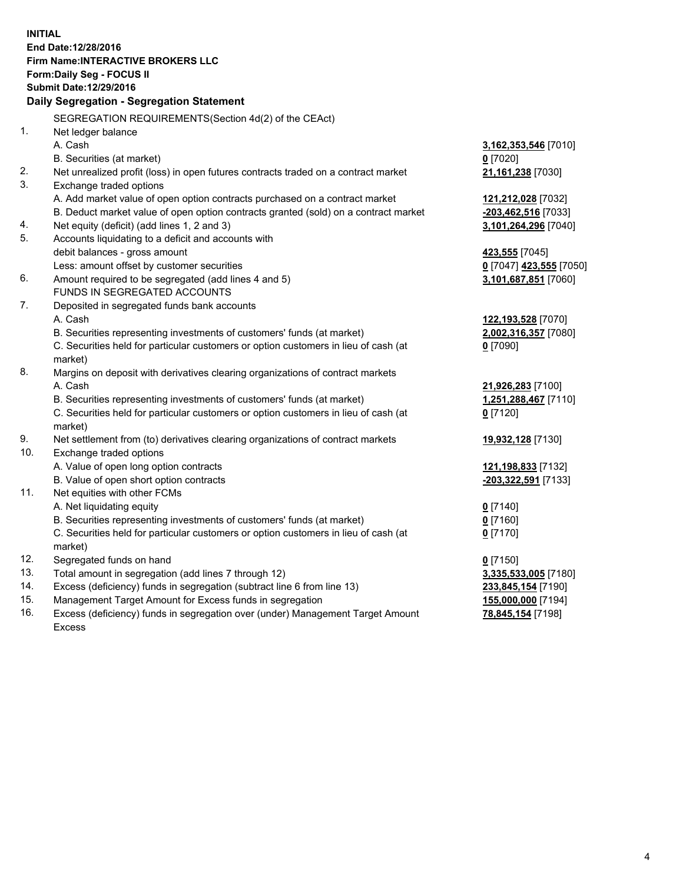**INITIAL End Date:12/28/2016 Firm Name:INTERACTIVE BROKERS LLC Form:Daily Seg - FOCUS II Submit Date:12/29/2016 Daily Segregation - Segregation Statement** SEGREGATION REQUIREMENTS(Section 4d(2) of the CEAct) 1. Net ledger balance A. Cash **3,162,353,546** [7010] B. Securities (at market) **0** [7020] 2. Net unrealized profit (loss) in open futures contracts traded on a contract market **21,161,238** [7030] 3. Exchange traded options A. Add market value of open option contracts purchased on a contract market **121,212,028** [7032] B. Deduct market value of open option contracts granted (sold) on a contract market **-203,462,516** [7033] 4. Net equity (deficit) (add lines 1, 2 and 3) **3,101,264,296** [7040] 5. Accounts liquidating to a deficit and accounts with debit balances - gross amount **423,555** [7045] Less: amount offset by customer securities **0** [7047] **423,555** [7050] 6. Amount required to be segregated (add lines 4 and 5) **3,101,687,851** [7060] FUNDS IN SEGREGATED ACCOUNTS 7. Deposited in segregated funds bank accounts A. Cash **122,193,528** [7070] B. Securities representing investments of customers' funds (at market) **2,002,316,357** [7080] C. Securities held for particular customers or option customers in lieu of cash (at market) **0** [7090] 8. Margins on deposit with derivatives clearing organizations of contract markets A. Cash **21,926,283** [7100] B. Securities representing investments of customers' funds (at market) **1,251,288,467** [7110] C. Securities held for particular customers or option customers in lieu of cash (at market) **0** [7120] 9. Net settlement from (to) derivatives clearing organizations of contract markets **19,932,128** [7130] 10. Exchange traded options A. Value of open long option contracts **121,198,833** [7132] B. Value of open short option contracts **-203,322,591** [7133] 11. Net equities with other FCMs A. Net liquidating equity **0** [7140] B. Securities representing investments of customers' funds (at market) **0** [7160] C. Securities held for particular customers or option customers in lieu of cash (at market) **0** [7170] 12. Segregated funds on hand **0** [7150] 13. Total amount in segregation (add lines 7 through 12) **3,335,533,005** [7180] 14. Excess (deficiency) funds in segregation (subtract line 6 from line 13) **233,845,154** [7190] 15. Management Target Amount for Excess funds in segregation **155,000,000** [7194] **78,845,154** [7198]

16. Excess (deficiency) funds in segregation over (under) Management Target Amount Excess